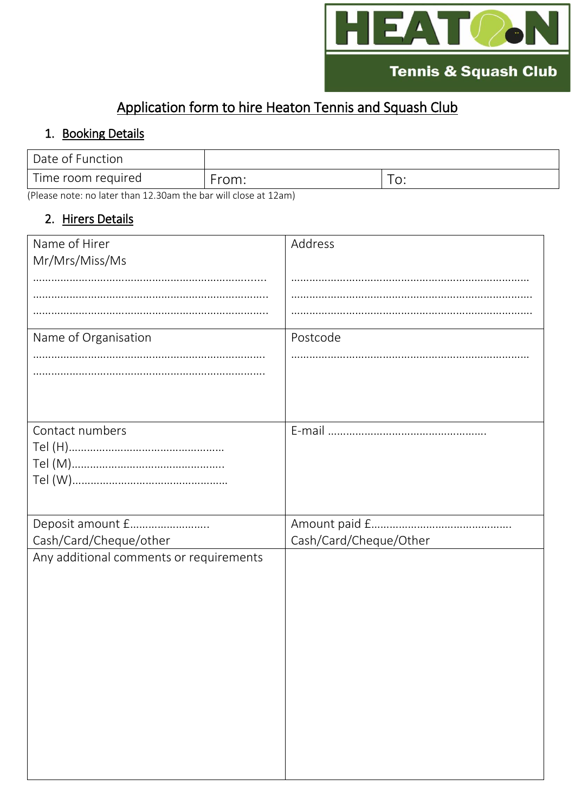

## Application form to hire Heaton Tennis and Squash Club

## 1. Booking Details

| Date of Function   |       |            |
|--------------------|-------|------------|
| Time room required | From: | $\backsim$ |

(Please note: no later than 12.30am the bar will close at 12am)

## 2. Hirers Details

| Name of Hirer                           | Address                |
|-----------------------------------------|------------------------|
| Mr/Mrs/Miss/Ms                          |                        |
|                                         |                        |
|                                         |                        |
|                                         |                        |
| Name of Organisation                    | Postcode               |
|                                         |                        |
|                                         |                        |
|                                         |                        |
|                                         |                        |
| Contact numbers                         |                        |
|                                         |                        |
|                                         |                        |
|                                         |                        |
|                                         |                        |
| Deposit amount £                        |                        |
| Cash/Card/Cheque/other                  | Cash/Card/Cheque/Other |
| Any additional comments or requirements |                        |
|                                         |                        |
|                                         |                        |
|                                         |                        |
|                                         |                        |
|                                         |                        |
|                                         |                        |
|                                         |                        |
|                                         |                        |
|                                         |                        |
|                                         |                        |
|                                         |                        |
|                                         |                        |
|                                         |                        |